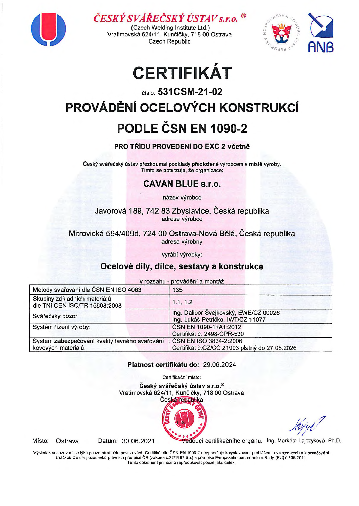

ČESKÝ SVÁŘEČSKÝ ÚSTAV s.r.o.

(Czech Welding Institute Ltd.) Vratimovská 624/11, Kunčičky, 718 00 Ostrava Czech Republic



## , CERTIFIKAT

## číslo: 531 CSM-21-02 PROVÁDĚNÍ OCELOVÝCH KONSTRUKCÍ PODLE ČSN EN 1090-2

### PRO TŘÍDU PROVEDENÍ DO EXC 2 včetně

Český svářečský ústav přezkoumal podklady předložené výrobcem v místě výroby. Tímto se potvrzuje, že organizace:

### CAVAN BLUE s.r.o.

název výrobce

Javorová 189, 742 83 Zbyslavice, Česká republika adresa výrobce

Mitrovicka 594/409d, 724 oo Ostrava-Nova Bela, Ceska republika adresa výrobny

vyrabi vyrobky:

## Ocelové díly, dílce, sestavy a konstrukce

v rozsahu - provádění a montáž

| Metody svařování dle ČSN EN ISO 4063                                  | 135                                                                        |
|-----------------------------------------------------------------------|----------------------------------------------------------------------------|
| Skupiny základních materiálů<br>dle TNI CEN ISO/TR 15608:2008         | 1.1, 1.2                                                                   |
| Svářečský dozor                                                       | Ing. Dalibor Švejkovský, EWE/CZ 00026<br>Ing. Lukáš Petričko, IWT/CZ 11077 |
| Systém řízení výroby:                                                 | ČSN EN 1090-1+A1:2012<br>Certifikát č. 2498-CPR-530                        |
| Systém zabezpečování kvality tavného svařování<br>kovových materiálů: | ČSN EN ISO 3834-2:2006<br>Certifikát č.CZ/CC 21003 platný do 27.06.2026    |

#### Platnost certifikatu do: 29.06.2024

Certifikační místo: Český svářečský ústav s.r.o.® Vratimovská 624/11, Kunčičky, 718 00 Ostrava



Místo: Ostrava

Datum: 30.06.2021 Vedoucí certifikačního orgánu: Ing. Markéta Lajczyková, Ph.D.

Výsledek posuzování se týká pouze předmětu posuzování. Certifikát dle ČSN EN 1090-2 neopravňuje k vystavování prohlášení o vlastnostech a k označování<br>značkou CE dle požadavků právních předpisů ČR (zákona č.22/1997 Sb.) a Tento dokument je možno reprodukovat pouze jako celek.